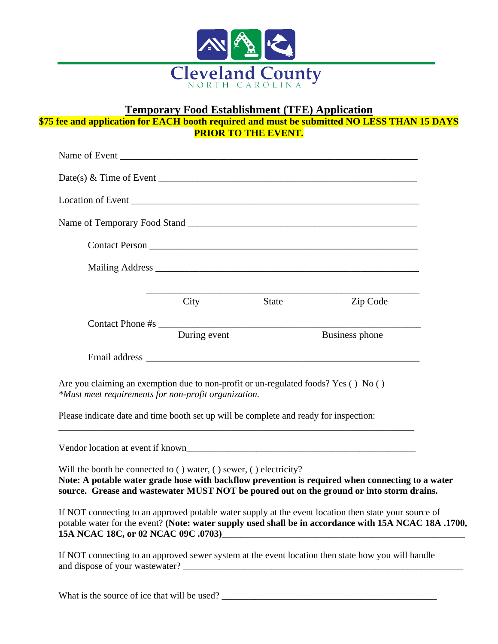

# **Temporary Food Establishment (TFE) Application**

**\$75 fee and application for EACH booth required and must be submitted NO LESS THAN 15 DAYS PRIOR TO THE EVENT.**

|                                 |                                                                                                                                                                                                                                | Date(s) & Time of Event $\overline{\phantom{a}}$                                                                                                                                                                                                      |  |
|---------------------------------|--------------------------------------------------------------------------------------------------------------------------------------------------------------------------------------------------------------------------------|-------------------------------------------------------------------------------------------------------------------------------------------------------------------------------------------------------------------------------------------------------|--|
|                                 | Location of Event Location Contract Contract Contract Contract Contract Contract Contract Contract Contract Contract Contract Contract Contract Contract Contract Contract Contract Contract Contract Contract Contract Contra |                                                                                                                                                                                                                                                       |  |
|                                 |                                                                                                                                                                                                                                |                                                                                                                                                                                                                                                       |  |
|                                 |                                                                                                                                                                                                                                | <b>Contact Person</b>                                                                                                                                                                                                                                 |  |
|                                 |                                                                                                                                                                                                                                |                                                                                                                                                                                                                                                       |  |
|                                 |                                                                                                                                                                                                                                |                                                                                                                                                                                                                                                       |  |
|                                 |                                                                                                                                                                                                                                | City State Zip Code                                                                                                                                                                                                                                   |  |
|                                 | During event                                                                                                                                                                                                                   | Business phone                                                                                                                                                                                                                                        |  |
|                                 |                                                                                                                                                                                                                                |                                                                                                                                                                                                                                                       |  |
|                                 | Are you claiming an exemption due to non-profit or un-regulated foods? Yes () No ()<br>*Must meet requirements for non-profit organization.                                                                                    |                                                                                                                                                                                                                                                       |  |
|                                 | Please indicate date and time booth set up will be complete and ready for inspection:                                                                                                                                          |                                                                                                                                                                                                                                                       |  |
|                                 |                                                                                                                                                                                                                                |                                                                                                                                                                                                                                                       |  |
|                                 | Will the booth be connected to () water, () sewer, () electricity?                                                                                                                                                             | Note: A potable water grade hose with backflow prevention is required when connecting to a water<br>source. Grease and wastewater MUST NOT be poured out on the ground or into storm drains.                                                          |  |
|                                 |                                                                                                                                                                                                                                | If NOT connecting to an approved potable water supply at the event location then state your source of<br>potable water for the event? (Note: water supply used shall be in accordance with 15A NCAC 18A .1700,<br>15A NCAC 18C, or 02 NCAC 09C .0703) |  |
| and dispose of your wastewater? |                                                                                                                                                                                                                                | If NOT connecting to an approved sewer system at the event location then state how you will handle                                                                                                                                                    |  |

What is the source of ice that will be used? \_\_\_\_\_\_\_\_\_\_\_\_\_\_\_\_\_\_\_\_\_\_\_\_\_\_\_\_\_\_\_\_\_\_\_\_\_\_\_\_\_\_\_\_\_\_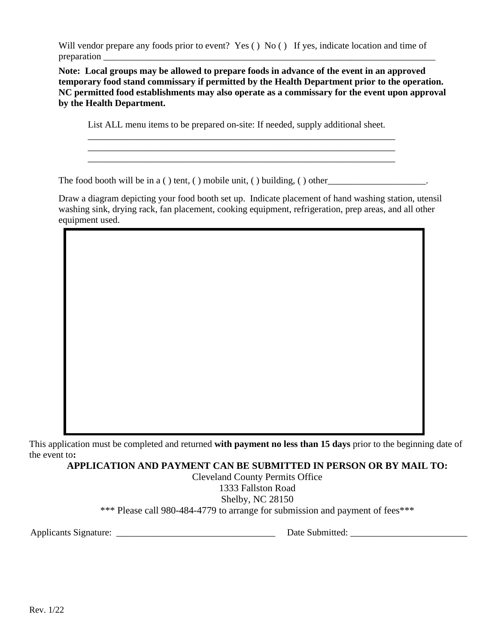Will vendor prepare any foods prior to event? Yes () No () If yes, indicate location and time of preparation

**Note: Local groups may be allowed to prepare foods in advance of the event in an approved temporary food stand commissary if permitted by the Health Department prior to the operation. NC permitted food establishments may also operate as a commissary for the event upon approval by the Health Department.**

List ALL menu items to be prepared on-site: If needed, supply additional sheet.

\_\_\_\_\_\_\_\_\_\_\_\_\_\_\_\_\_\_\_\_\_\_\_\_\_\_\_\_\_\_\_\_\_\_\_\_\_\_\_\_\_\_\_\_\_\_\_\_\_\_\_\_\_\_\_\_\_\_\_\_\_\_\_

The food booth will be in a ( ) tent, ( ) mobile unit, ( ) building, ( ) other

Draw a diagram depicting your food booth set up. Indicate placement of hand washing station, utensil washing sink, drying rack, fan placement, cooking equipment, refrigeration, prep areas, and all other equipment used.

This application must be completed and returned **with payment no less than 15 days** prior to the beginning date of the event to**:** 

**APPLICATION AND PAYMENT CAN BE SUBMITTED IN PERSON OR BY MAIL TO:**

Cleveland County Permits Office 1333 Fallston Road Shelby, NC 28150 \*\*\* Please call 980-484-4779 to arrange for submission and payment of fees\*\*\*

Applicants Signature: \_\_\_\_\_\_\_\_\_\_\_\_\_\_\_\_\_\_\_\_\_\_\_\_\_\_\_\_\_\_\_\_\_\_ Date Submitted: \_\_\_\_\_\_\_\_\_\_\_\_\_\_\_\_\_\_\_\_\_\_\_\_\_